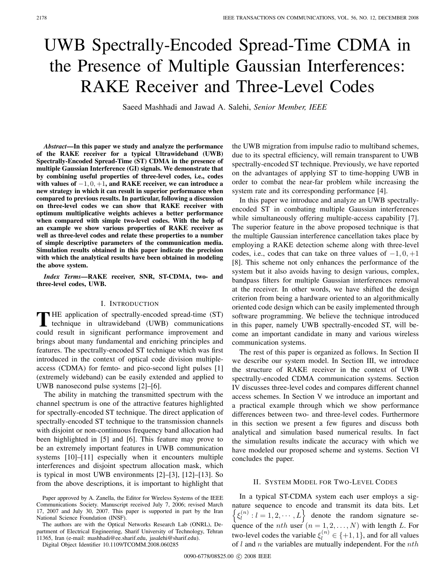# UWB Spectrally-Encoded Spread-Time CDMA in the Presence of Multiple Gaussian Interferences: RAKE Receiver and Three-Level Codes

Saeed Mashhadi and Jawad A. Salehi, *Senior Member, IEEE*

*Abstract***—In this paper we study and analyze the performance of the RAKE receiver for a typical Ultrawideband (UWB) Spectrally-Encoded Spread-Time (ST) CDMA in the presence of multiple Gaussian Interference (GI) signals. We demonstrate that by combining useful properties of three-level codes, i.e., codes with values of** *−*1*,* 0*,* +1**, and RAKE receiver, we can introduce a new strategy in which it can result in superior performance when compared to previous results. In particular, following a discussion on three-level codes we can show that RAKE receiver with optimum multiplicative weights achieves a better performance when compared with simple two-level codes. With the help of an example we show various properties of RAKE receiver as well as three-level codes and relate these properties to a number of simple descriptive parameters of the communication media. Simulation results obtained in this paper indicate the precision with which the analytical results have been obtained in modeling the above system.**

*Index Terms***—RAKE receiver, SNR, ST-CDMA, two- and three-level codes, UWB.**

#### I. INTRODUCTION

THE application of spectrally-encoded spread-time (ST)<br>technique in ultrawideband (UWB) communications could result in significant performance improvement and brings about many fundamental and enriching principles and features. The spectrally-encoded ST technique which was first introduced in the context of optical code division multipleaccess (CDMA) for femto- and pico-second light pulses [1] (extremely wideband) can be easily extended and applied to UWB nanosecond pulse systems [2]–[6].

The ability in matching the transmitted spectrum with the channel spectrum is one of the attractive features highlighted for spectrally-encoded ST technique. The direct application of spectrally-encoded ST technique to the transmission channels with disjoint or non-continuous frequency band allocation had been highlighted in [5] and [6]. This feature may prove to be an extremely important features in UWB communication systems [10]–[11] especially when it encounters multiple interferences and disjoint spectrum allocation mask, which is typical in most UWB environments [2]–[3], [12]–[13]. So from the above descriptions, it is important to highlight that

The authors are with the Optical Networks Research Lab (ONRL), Department of Electrical Engineering, Sharif University of Technology, Tehran 11365, Iran (e-mail: mashhadi@ee.sharif.edu, jasalehi@sharif.edu).

the UWB migration from impulse radio to multiband schemes, due to its spectral efficiency, will remain transparent to UWB spectrally-encoded ST technique. Previously, we have reported on the advantages of applying ST to time-hopping UWB in order to combat the near-far problem while increasing the system rate and its corresponding performance [4].

In this paper we introduce and analyze an UWB spectrallyencoded ST in combating multiple Gaussian interferences while simultaneously offering multiple-access capability [7]. The superior feature in the above proposed technique is that the multiple Gaussian interference cancellation takes place by employing a RAKE detection scheme along with three-level codes, i.e., codes that can take on three values of  $-1, 0, +1$ [8]. This scheme not only enhances the performance of the system but it also avoids having to design various, complex, bandpass filters for multiple Gaussian interferences removal at the receiver. In other words, we have shifted the design criterion from being a hardware oriented to an algorithmically oriented code design which can be easily implemented through software programming. We believe the technique introduced in this paper, namely UWB spectrally-encoded ST, will become an important candidate in many and various wireless communication systems.

The rest of this paper is organized as follows. In Section II we describe our system model. In Section III, we introduce the structure of RAKE receiver in the context of UWB spectrally-encoded CDMA communication systems. Section IV discusses three-level codes and compares different channel access schemes. In Section V we introduce an important and a practical example through which we show performance differences between two- and three-level codes. Furthermore in this section we present a few figures and discuss both analytical and simulation based numerical results. In fact the simulation results indicate the accuracy with which we have modeled our proposed scheme and systems. Section VI concludes the paper.

## II. SYSTEM MODEL FOR TWO-LEVEL CODES

In a typical ST-CDMA system each user employs a signature sequence to encode and transmit its data bits. Let  $\{\xi_l^{(n)}: l = 1, 2, \cdots, L\}$  denote the random signature sequence of the *nth* user  $(n = 1, 2, ..., N)$  with length L. For two-level codes the variable  $\xi_l^{(n)} \in \{+1, 1\}$ , and for all values of  $l$  and  $n$  the variables are mutually independent. For the  $nth$ 

Paper approved by A. Zanella, the Editor for Wireless Systems of the IEEE Communications Society. Manuscript received July 7, 2006; revised March 17, 2007 and July 30, 2007. This paper is supported in part by the Iran National Science Foundation (INSF).

Digital Object Identifier 10.1109/TCOMM.2008.060285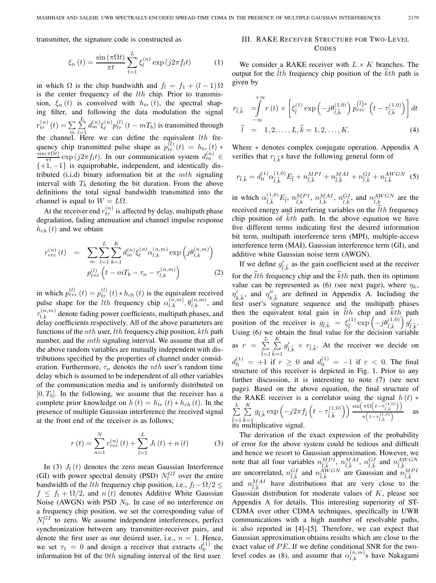transmitter, the signature code is constructed as

$$
\xi_n(t) = \frac{\sin(\pi\Omega t)}{\pi t} \sum_{l=1}^L \xi_l^{(n)} \exp(j2\pi f_l t)
$$
 (1)

in which  $\Omega$  is the chip bandwidth and  $f_l = f_1 + (l - 1) \Omega$ is the center frequency of the  $lth$  chip. Prior to transmission,  $\xi_n(t)$  is convolved with  $h_{tr}(t)$ , the spectral shaping filter, and following the data modulation the signal  $r_{tr}^{(n)}(t) = \sum_{m} \sum_{l=1}^{L}$ L  $\overline{l=1}$  $d_m^{(n)} \xi_l^{(n)} p_{tr}^{(l)} (t - mT_b)$  is transmitted through the channel. Here we can define the equivalent  $lth$  frequency chip transmitted pulse shape as  $p_{tr}^{(l)}(t) = h_{tr}(t) *$  $\frac{\sin(\pi\Omega t)}{\pi t}$  exp (j2 $\pi f_t t$ ). In our communication system  $d_m^{(n)} \in$  $\{+1, -1\}$  is equiprobable, independent, and identically distributed (i.i.d) binary information bit at the  $mth$  signaling interval with  $T<sub>b</sub>$  denoting the bit duration. From the above definitions the total signal bandwidth transmitted into the channel is equal to  $W = L\Omega$ .

At the receiver end  $r_{tr}^{(n)}$  is affected by delay, multipath phase degradation, fading attenuation and channel impulse response  $h_{ch}(t)$  and we obtain

$$
r_{rec}^{(n)}(t) = \sum_{m} \sum_{l=1}^{L} \sum_{k=1}^{K} d_m^{(n)} \xi_l^{(n)} \alpha_{l,k}^{(n,m)} \exp\left(j\theta_{l,k}^{(n,m)}\right)
$$

$$
p_{rec}^{(l)}\left(t - mT_b - \tau_n - \tau_{l,k}^{(n,m)}\right)
$$
(2)

in which  $p_{rec}^{(l)}(t) = p_{tr}^{(l)}(t) * h_{ch}(t)$  is the equivalent received pulse shape for the *lth* frequency chip  $\alpha_{l,k}^{(n,m)}, \theta_{l,k}^{(n,m)}$ , and  $\tau_{l,k}^{(n,m)}$  denote fading power coefficients, multipath phases, and delay coefficients respectively. All of the above parameters are functions of the *nth* user, *lth* frequency chip position,  $kth$  path number, and the mth signaling interval. We assume that all of the above random variables are mutually independent with distributions specified by the properties of channel under consideration. Furthermore,  $\tau_n$  denotes the *nth* user's random time delay which is assumed to be independent of all other variables of the communication media and is uniformly distributed on  $[0, T_b]$ . In the following, we assume that the receiver has a complete prior knowledge on  $h(t) = h_{tr}(t) * h_{ch}(t)$ . In the presence of multiple Gaussian interference the received signal at the front end of the receiver is as follows;

$$
r(t) = \sum_{n=1}^{N} r_{rec}^{(n)}(t) + \sum_{l=1}^{L} J_{l}(t) + n(t)
$$
 (3)

In (3)  $J_l(t)$  denotes the zero mean Gaussian Interference (GI) with power spectral density (PSD)  $N_l^{GI}$  over the entire bandwidth of the *lth* frequency chip position, i.e.,  $f_l - \Omega/2 \leq$  $f \n\leq f_l + \Omega/2$ , and  $n(t)$  denotes Additive White Gaussian Noise (AWGN) with PSD  $N_0$ . In case of no interference on a frequency chip position, we set the corresponding value of  $N_l^{GI}$  to zero. We assume independent interferences, perfect synchronization between any transmitter-receiver pairs, and denote the first user as our desired user, i.e.,  $n = 1$ . Hence, we set  $\tau_1 = 0$  and design a receiver that extracts  $d_0^{(1)}$  the information bit of the 0th signaling interval of the first user.

# III. RAKE RECEIVER STRUCTURE FOR TWO-LEVEL **CODES**

We consider a RAKE receiver with  $L \times K$  branches. The output for the lth frequency chip position of the kth path is given by

$$
r_{\hat{l},\hat{k}} = \int_{-\infty}^{+\infty} r(t) \times \left[ \xi_{\hat{l}}^{(1)} \exp\left(-j\theta_{\hat{l},\hat{k}}^{(1,0)}\right) p_{rec}^{(\hat{l})*} \left(t - \tau_{\hat{l},\hat{k}}^{(1,0)}\right) \right] dt
$$

$$
\hat{l} = 1, 2, \dots, L, \hat{k} = 1, 2, \dots, K.
$$
 (4)

Where \* denotes complex conjugate operation. Appendix A verifies that  $r_{\hat{i},\hat{k}}$ s have the following general form of

$$
r_{\hat{l},\hat{k}} = d_0^{(1)} \alpha_{\hat{l},\hat{k}}^{(1,0)} E_{\hat{l}} + n_{\hat{l},\hat{k}}^{MPI} + n_{\hat{l},\hat{k}}^{MAI} + n_{\hat{l},\hat{k}}^{GI} + n_{\hat{l},\hat{k}}^{AWGN}
$$
 (5)

in which  $\alpha_{\hat{l},\hat{k}}^{(1,0)}E_{\hat{l}}, n_{\hat{l},\hat{k}}^{MPI}, n_{\hat{l},\hat{k}}^{MAI}, n_{\hat{l},\hat{k}}^{GI}$ , and  $n_{\hat{l},\hat{k}}^{AWGN}$  are the received energy and interfering variables on the *lth* frequency chip position of kth path. In the above equation we have five different terms indicating first the desired information bit term, multipath interference term (MPI), multiple-access interference term (MAI), Gaussian interference term (GI), and additive white Gaussian noise term (AWGN).

If we define  $g'_{\hat{l},\hat{k}}$  as the gain coefficient used at the receiver for the  $lth$  frequency chip and the  $kth$  path, then its optimum value can be represented as (6) (see next page), where  $\eta_k$ ,  $\eta'_{k,\hat{k}}$ , and  $\eta''_{k,\hat{k}}$  are defined in Appendix A. Including the first user's signature sequence and the multipath phases then the equivalent total gain in  $\hat{t}$ th chip and  $\hat{k}$ th path position of the receiver is  $g_{\hat{l},\hat{k}} = \xi_{\hat{l}}^{(1)} \exp\left(-j\theta_{\hat{l},\hat{k}}^{(1,0)}\right) g'_{\hat{l},\hat{k}}$ .<br>Heing (6) we obtain the final value for the decision variable Using (6) we obtain the final value for the decision variable as  $r = \sum$ L  $\hat{l}=1$  $\sum$ K  $d_0^{(1)} = +1$  if  $r \ge 0$  and  $d_0^{(1)} = -1$  if  $r < 0$ . The final  $\widehat{k}=1$  $g_{\hat{l},\hat{k}}' \times r_{\hat{l},\hat{k}}$ . At the receiver we decide on structure of this receiver is depicted in Fig. 1. Prior to any further discussion, it is interesting to note (7) (see next page). Based on the above equation, the final structure of the RAKE receiver is a correlator using the signal  $h(t)$  \*  $\sum$ L  $\hat{l}=1$  $\sum$ K  $\sum_{k=1}^{n}$  multiplicative signal.  $\sum_{\widehat{k}=1}^K g_{\widehat{l},\widehat{k}} \exp\left(-j2\pi f_{\widehat{l}}\left(t-\tau_{\widehat{l},\widehat{k}}^{(1,0)}\right)\right) \frac{\sin\left(\pi \Omega\left(t-\tau_{\widehat{l},\widehat{k}}^{(1,0)}\right)\right)}{\pi\left(t-\tau_{\widehat{l},\widehat{k}}^{(1,0)}\right)}$  $\pi\left(t-\tau_{\widehat{l},\widehat{k}}^{(1,0)}\right)$  $\frac{1}{\sqrt{2}}$  as

The derivation of the exact expression of the probability of error for the above system could be tedious and difficult and hence we resort to Gaussian approximation. However, we note that all four variables  $n_{\hat{l},\hat{k}}^{MPI}$ ,  $n_{\hat{l},\hat{k}}^{MH}$ ,  $n_{\hat{l},\hat{k}}^{GI}$  and  $n_{\hat{l},\hat{k}}^{AWGN}$  are Gaussian and  $n_{\hat{l},\hat{k}}^{AWGN}$ <br>and  $n_{\hat{l},\hat{k}}^{MAI}$  have distributions that are very close to the<br>Gaussian distributio Gaussian distribution for moderate values of  $K$ , please see Appendix A for details. This interesting superiority of ST-CDMA over other CDMA techniques, specifically in UWB communications with a high number of resolvable paths, is also reported in [4]–[5]. Therefore, we can expect that Gaussian approximation obtains results which are close to the exact value of  $PE$ . If we define conditional SNR for the twolevel codes as (8), and assume that  $\alpha_{l,k}^{(n,m)}$ s have Nakagami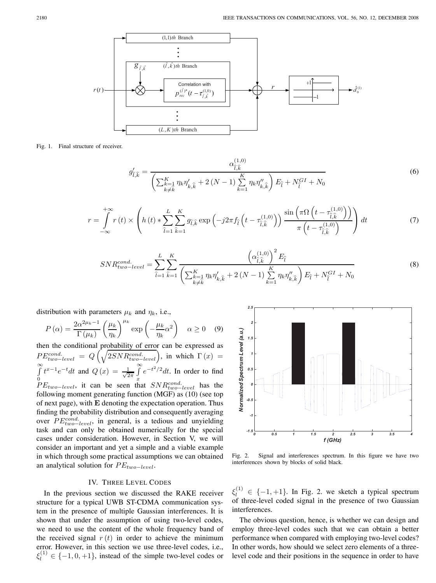

Fig. 1. Final structure of receiver.

$$
g_{\hat{l},\hat{k}}' = \frac{\alpha_{\hat{l},\hat{k}}^{(1,0)}}{\left(\sum_{\substack{k=1\\k\neq\hat{k}}}^{K} \eta_k \eta'_{k,\hat{k}} + 2\left(N-1\right) \sum_{k=1}^{K} \eta_k \eta''_{k,\hat{k}}\right) E_{\hat{l}} + N_{\hat{l}}^{GI} + N_0}
$$
(6)

$$
r = \int_{-\infty}^{+\infty} r(t) \times \left( h(t) * \sum_{\hat{l}=1}^{L} \sum_{\hat{k}=1}^{K} g_{\hat{l},\hat{k}} \exp\left(-j2\pi f_{\hat{l}}\left(t - \tau_{\hat{l},\hat{k}}^{(1,0)}\right)\right) \frac{\sin\left(\pi \Omega \left(t - \tau_{\hat{l},\hat{k}}^{(1,0)}\right)\right)}{\pi \left(t - \tau_{\hat{l},\hat{k}}^{(1,0)}\right)} \right) dt \tag{7}
$$

$$
SNR_{two-level}^{cond.} = \sum_{\hat{l}=1}^{L} \sum_{\hat{k}=1}^{K} \frac{\left(\alpha_{\hat{l},\hat{k}}^{(1,0)}\right)^{2} E_{\hat{l}}}{\left(\sum_{\substack{k=1\\k\neq\hat{k}}}^{K} \eta_{k} \eta_{k,\hat{k}}' + 2\left(N-1\right) \sum_{k=1}^{K} \eta_{k} \eta_{k,\hat{k}}''\right) E_{\hat{l}} + N_{\hat{l}}^{GI} + N_{0}}
$$
(8)

distribution with parameters  $\mu_k$  and  $\eta_k$ , i.e.,

$$
P(\alpha) = \frac{2\alpha^{2\mu_k - 1}}{\Gamma(\mu_k)} \left(\frac{\mu_k}{\eta_k}\right)^{\mu_k} \exp\left(-\frac{\mu_k}{\eta_k}\alpha^2\right) \quad \alpha \ge 0 \quad (9)
$$

then the conditional probability of error can be expressed as  $PE_{two-level}^{cond.} = Q\left(\sqrt{2SNR_{two-level}^{cond.}}\right)$ , in which  $\Gamma(x)$  =  $\int_{0}^{\infty} t^{x-1}e^{-t}dt$  and  $Q(x) = \frac{1}{\sqrt{2\pi}}\int_{0}^{\infty}$  $PE_{two-level}$ , it can be seen that  $SNR_{two-level}^{cond}$  has the  $\int_{x}^{\infty} e^{-t^2/2} dt$ . In order to find following moment generating function (MGF) as (10) (see top of next page), with **E** denoting the expectation operation. Thus finding the probability distribution and consequently averaging over  $PE_{two-level}^{cond}$ , in general, is a tedious and unyielding task and can only be obtained numerically for the special cases under consideration. However, in Section V, we will consider an important and yet a simple and a viable example in which through some practical assumptions we can obtained an analytical solution for  $PE_{two-level}$ .

# IV. THREE LEVEL CODES

In the previous section we discussed the RAKE receiver structure for a typical UWB ST-CDMA communication system in the presence of multiple Gaussian interferences. It is shown that under the assumption of using two-level codes, we need to use the content of the whole frequency band of the received signal  $r(t)$  in order to achieve the minimum error. However, in this section we use three-level codes, i.e.,  $\xi_l^{(1)} \in \{-1, 0, +1\}$ , instead of the simple two-level codes or



Fig. 2. Signal and interferences spectrum. In this figure we have two interferences shown by blocks of solid black.

 $\xi_l^{(1)} \in \{-1, +1\}$ . In Fig. 2. we sketch a typical spectrum of three-level coded signal in the presence of two Gaussian interferences.

The obvious question, hence, is whether we can design and employ three-level codes such that we can obtain a better performance when compared with employing two-level codes? In other words, how should we select zero elements of a threelevel code and their positions in the sequence in order to have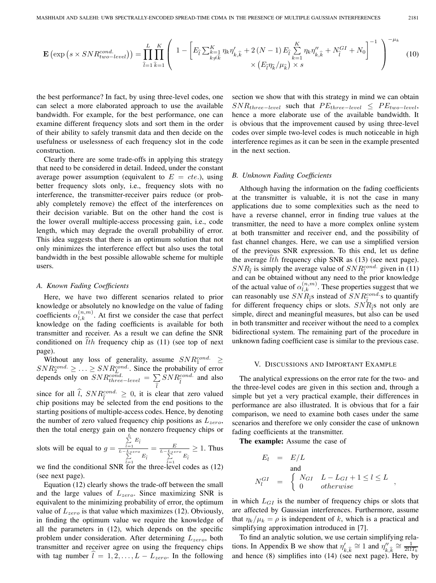$$
\mathbf{E}\left(\exp\left(s \times SNR_{two-level}^{cond.}\right)\right) = \prod_{\hat{l}=1}^{L} \prod_{\hat{k}=1}^{K} \left(1 - \left[E_{\hat{l}} \sum_{\substack{k=1\\k\neq\hat{k}}}^{K} \eta_{k} \eta_{k,\hat{k}}^{\prime} + 2\left(N-1\right) E_{\hat{l}} \sum_{k=1}^{K} \eta_{k} \eta_{k,\hat{k}}^{\prime\prime} + N_{\hat{l}}^{GI} + N_{0}\right]^{-1}\right)^{-\mu_{k}}\tag{10}
$$

the best performance? In fact, by using three-level codes, one can select a more elaborated approach to use the available bandwidth. For example, for the best performance, one can examine different frequency slots and sort them in the order of their ability to safely transmit data and then decide on the usefulness or uselessness of each frequency slot in the code construction.

Clearly there are some trade-offs in applying this strategy that need to be considered in detail. Indeed, under the constant average power assumption (equivalent to  $E = cte$ .), using better frequency slots only, i.e., frequency slots with no interference, the transmitter-receiver pairs reduce (or probably completely remove) the effect of the interferences on their decision variable. But on the other hand the cost is the lower overall multiple-access processing gain, i.e., code length, which may degrade the overall probability of error. This idea suggests that there is an optimum solution that not only minimizes the interference effect but also uses the total bandwidth in the best possible allowable scheme for multiple users.

#### *A. Known Fading Coefficients*

Here, we have two different scenarios related to prior knowledge or absolutely no knowledge on the value of fading coefficients  $\alpha_{l,k}^{(n,m)}$ . At first we consider the case that perfect knowledge on the fading coefficients is available for both transmitter and receiver. As a result we can define the SNR conditioned on lth frequency chip as (11) (see top of next page).

Without any loss of generality, assume  $SNR_1^{cond.} \geq$  $SNR_2^{cond.} \geq \ldots \geq SNR_L^{cond.}$ . Since the probability of error depends only on  $SNR_{three-level}^{cond.} = \sum_{\hat{j}} SNR_{\hat{l}}^{cond.}$  and also

since for all  $\hat{l}$ ,  $SNR_{\hat{l}}^{cond.} \geq 0$ , it is clear that zero valued<br>chin positions may be selected from the end positions to the chip positions may be selected from the end positions to the starting positions of multiple-access codes. Hence, by denoting the number of zero valued frequency chip positions as  $L_{zero}$ , then the total energy gain on the nonzero frequency chips or

slots will be equal to  $g =$  $\sum_{\hat{l}=1}^L E_{\hat{l}}$ *L*−*L*<sub>zero</sub></sup><sub> $\sum$ </sub> $E$ <sup>∂</sup> $=1$ </sup>  $=\frac{E}{\sum_{\hat{i}=1}^{L-L_{zero}}E_{\hat{i}}}$  $\geq 1$ . Thus

we find the conditional SNR for the three-level codes as (12) (see next page).

Equation (12) clearly shows the trade-off between the small and the large values of  $L_{zero}$ . Since maximizing SNR is equivalent to the minimizing probability of error, the optimum value of  $L_{zero}$  is that value which maximizes (12). Obviously, in finding the optimum value we require the knowledge of all the parameters in (12), which depends on the specific problem under consideration. After determining  $L_{zero}$ , both transmitter and receiver agree on using the frequency chips with tag number  $l = 1, 2, \ldots, L - L_{zero}$ . In the following

section we show that with this strategy in mind we can obtain  $SNR_{three-level}$  such that  $PE_{three-level} \leq PE_{two-level}$ , hence a more elaborate use of the available bandwidth. It is obvious that the improvement caused by using three-level codes over simple two-level codes is much noticeable in high interference regimes as it can be seen in the example presented in the next section.

### *B. Unknown Fading Coefficients*

Although having the information on the fading coefficients at the transmitter is valuable, it is not the case in many applications due to some complexities such as the need to have a reverse channel, error in finding true values at the transmitter, the need to have a more complex online system at both transmitter and receiver end, and the possibility of fast channel changes. Here, we can use a simplified version of the previous SNR expression. To this end, let us define the average lth frequency chip SNR as (13) (see next page).  $SNR_{\tilde{l}}$  is simply the average value of  $SNR_{\tilde{l}}^{cond.}$  given in (11) and can be obtained without any need to the prior knowledge of the actual value of  $\alpha_{l,k}^{(n,m)}$ . These properties suggest that we can reasonably use  $SNR_{\tilde{t}}^{as}$  instead of  $SNR_{\tilde{t}}^{cond}$  is to quantify<br>for different frequency chine or slots.  $SNR_{\tilde{t}}$  not only are for different frequency chips or slots.  $SNR_{\tilde{l}}$  not only are<br>simple, direct and meaningful measures, but also see he used simple, direct and meaningful measures, but also can be used in both transmitter and receiver without the need to a complex bidirectional system. The remaining part of the procedure in unknown fading coefficient case is similar to the previous case.

# V. DISCUSSIONS AND IMPORTANT EXAMPLE

The analytical expressions on the error rate for the two- and the three-level codes are given in this section and, through a simple but yet a very practical example, their differences in performance are also illustrated. It is obvious that for a fair comparison, we need to examine both cases under the same scenarios and therefore we only consider the case of unknown fading coefficients at the transmitter.

**The example:** Assume the case of

$$
E_l = E/L
$$
  
and  

$$
N_l^{GI} = \begin{cases} N_{GI} & L - L_{GI} + 1 \le l \le L \\ 0 & otherwise \end{cases}
$$

in which  $L_{GI}$  is the number of frequency chips or slots that are affected by Gaussian interferences. Furthermore, assume that  $\eta_k/\mu_k = \rho$  is independent of k, which is a practical and simplifying approximation introduced in [7].

To find an analytic solution, we use certain simplifying relations. In Appendix B we show that  $\eta'_{k,\hat{k}} \cong 1$  and  $\eta''_{k,\hat{k}} \cong \frac{1}{20T_b}$ <br>and hance (8) simplifies into (14) (see next page). Here, by and hence (8) simplifies into (14) (see next page). Here, by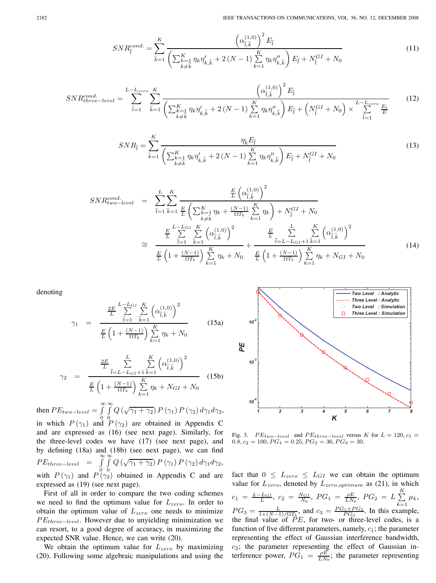$$
SNR_{\hat{l}}^{cond.} = \sum_{\hat{k}=1}^{K} \frac{\left(\alpha_{\hat{l},\hat{k}}^{(1,0)}\right)^{2} E_{\hat{l}}}{\left(\sum_{\substack{k=1\\k\neq\hat{k}}}^{K} \eta_{k} \eta_{k,\hat{k}}' + 2\left(N-1\right) \sum_{k=1}^{K} \eta_{k} \eta_{k,\hat{k}}''\right) E_{\hat{l}} + N_{\hat{l}}^{GI} + N_{0}}
$$
(11)

$$
SNR_{three-level}^{cond.} = \sum_{\hat{l}=1}^{L-L_{zero}} \sum_{\hat{k}=1}^{K} \frac{\left(\alpha_{\hat{l},\hat{k}}^{(1,0)}\right)^{2} E_{\hat{l}}}{\left(\sum_{\substack{k=1\\k\neq\hat{k}}}^{K} \eta_{k} \eta'_{k,\hat{k}} + 2\left(N-1\right) \sum_{k=1}^{K} \eta_{k} \eta''_{k,\hat{k}}\right) E_{\hat{l}} + \left(N_{\hat{l}}^{CI} + N_{0}\right) \times \sum_{\hat{l}=1}^{L-L_{zero}} \frac{E_{l}}{E}
$$
(12)

$$
SNR_{\hat{l}} = \sum_{\hat{k}=1}^{K} \frac{\eta_{\hat{k}} E_{\hat{l}}}{\left(\sum_{\substack{k=1 \ k \neq \hat{k}}}^{K} \eta_{k} \eta'_{k,\hat{k}} + 2\left(N-1\right) \sum_{k=1}^{K} \eta_{k} \eta''_{k,\hat{k}}\right) E_{\hat{l}} + N_{\hat{l}}^{GI} + N_{0}}
$$
(13)

$$
SNR_{two-level}^{cond.} = \sum_{\hat{l}=1}^{L} \sum_{\hat{k}=1}^{K} \frac{\frac{E}{L} (\alpha_{\hat{l},\hat{k}}^{(1,0)})^2}{\frac{E}{L} (\sum_{k=\hat{k}}^{K} \frac{1}{k} \eta_k + \frac{(N-1)}{\Omega T_b} \sum_{k=1}^{K} \eta_k) + N_{\hat{l}}^{GI} + N_0}
$$
  

$$
\approx \frac{\frac{E}{L} \sum_{\hat{l}=1}^{L-IGI} \sum_{\hat{k}=1}^{K} (\alpha_{\hat{l},\hat{k}}^{(1,0)})^2}{\frac{E}{L} (\frac{1}{K} + \frac{(N-1)}{\Omega T_b}) \sum_{k=1}^{K} \eta_k + N_0} + \frac{\frac{E}{L} \sum_{\hat{l}=L-L_{GI}+1}^{L} \sum_{\hat{k}=1}^{K} (\alpha_{\hat{l},\hat{k}}^{(1,0)})^2}{\frac{E}{L} (1 + \frac{(N-1)}{\Omega T_b}) \sum_{k=1}^{K} \eta_k + N_{GI} + N_0}
$$
(14)

denoting

$$
\gamma_1 = \frac{\frac{2E}{L} \sum_{\hat{l}=1}^{L-L_{GI}} \sum_{\hat{k}=1}^{K} \left( \alpha_{\hat{l},\hat{k}}^{(1,0)} \right)^2}{\frac{E}{L} \left( 1 + \frac{(N-1)}{\Omega T_b} \right) \sum_{k=1}^{K} \eta_k + N_0}
$$
(15a)

$$
\gamma_2 = \frac{\frac{2E}{L} \sum_{\hat{l}=L-L_{GI}+1}^{L} \sum_{\hat{k}=1}^{K} (\alpha_{\hat{l},\hat{k}}^{(1,0)})^2}{\frac{E}{L} \left(1 + \frac{(N-1)}{\Omega T_b}\right) \sum_{k=1}^{K} \eta_k + N_{GI} + N_0}
$$
(15b)

then  $PE_{two-level} = \int_{a}^{\infty} \int_{a}^{\infty} Q(\sqrt{\gamma_1 + \gamma_2}) P(\gamma_1) P(\gamma_2) d\gamma_1 d\gamma_2$ , in which  $P(\gamma_1)$  and  $P(\gamma_2)$  are obtained in Appendix C

and are expressed as (16) (see next page). Similarly, for the three-level codes we have (17) (see next page), and by defining (18a) and (18b) (see next page), we can find  $PE_{three-level}$  = ∞  $\overline{0}$  ∞ 0  $Q\left(\sqrt{\gamma_1+\gamma_2}\right)P\left(\gamma_1\right)P\left(\gamma_2\right)d\gamma_1d\gamma_2,$ with  $P(\gamma_1)$  and  $P(\gamma_2)$  obtained in Appendix C and are expressed as (19) (see next page).

First of all in order to compare the two coding schemes we need to find the optimum value for  $L_{zero}$ . In order to obtain the optimum value of  $L_{zero}$  one needs to minimize  $PE_{three-level}$ . However due to unyielding minimization we can resort, to a good degree of accuracy, in maximizing the expected SNR value. Hence, we can write (20).

We obtain the optimum value for  $L_{zero}$  by maximizing (20). Following some algebraic manipulations and using the



Fig. 3.  $PE_{two-level}$  and  $PE_{three-level}$  versus K for  $L = 120$ ,  $c_1 = 0.8$ ,  $c_2 = 100$ ,  $PG_1 = 0.25$ ,  $PG_2 = 36$ ,  $PG_3 = 30$ .

fact that  $0 \leq L_{zero} \leq L_{GI}$  we can obtain the optimum value for  $L_{zero}$ , denoted by  $L_{zero, optimum}$  as (21), in which  $c_1 = \frac{L - L_{GI}}{L}$ ,  $c_2 = \frac{N_{GI}}{N_0}$ ,  $PG_1 = \frac{\rho E}{LN_0}$ ,  $PG_2 = L \sum_{i=1}^{N}$ K  $\sqrt{k}=1$  $\mu_k$ ,  $PG_3 = \frac{L}{1 + (N-1)/\Omega T_b}$ , and  $c_3 = \frac{PG_1 \times PG_2}{PG_3}$ . In this example, the final value of  $\tilde{P}E$ , for two- or three-level codes, is a function of five different parameters, namely,  $c_1$ ; the parameter representing the effect of Gaussian interference bandwidth,  $c_2$ ; the parameter representing the effect of Gaussian interference power,  $PG_1 = \frac{\rho E}{LN_0}$ ; the parameter representing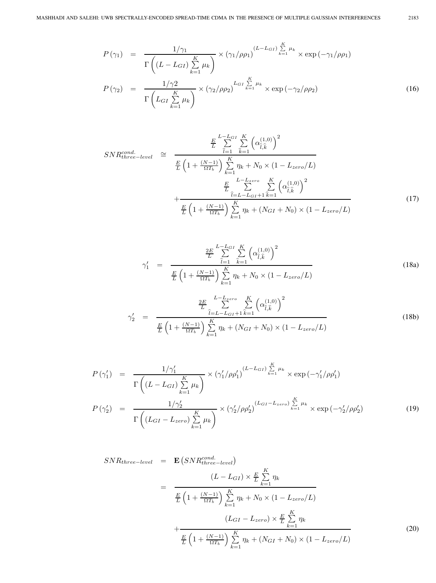$$
P(\gamma_1) = \frac{1/\gamma_1}{\Gamma\left((L - L_{GI})\sum\limits_{k=1}^K \mu_k\right)} \times (\gamma_1/\rho \rho_1)^{(L - L_{GI})\sum\limits_{k=1}^K \mu_k} \times \exp(-\gamma_1/\rho \rho_1)
$$
  

$$
P(\gamma_2) = \frac{1/\gamma_2}{\left(\frac{K}{K}\right)} \times (\gamma_2/\rho \rho_2)^{L_{GI}\sum\limits_{k=1}^K \mu_k} \times \exp(-\gamma_2/\rho \rho_2)
$$
 (16)

$$
P(\gamma_2) = \frac{1}{\Gamma\left(L_{GI}\sum\limits_{k=1}^K \mu_k\right)} \times (\gamma_2/\rho \rho_2)^{-\sum\limits_{k=1}^{K-1} \gamma_k} \times \exp\left(-\gamma_2/\rho \rho_2\right) \tag{16}
$$

$$
SNR_{three-level}^{cond.} \cong \frac{\frac{E}{L} \sum_{i=1}^{L-L_{GI}} \sum_{k=1}^{K} (\alpha_{\hat{l},\hat{k}}^{(1,0)})^2}{\frac{E}{L} \left(1 + \frac{(N-1)}{\Omega T_b}\right) \sum_{k=1}^{K} \eta_k + N_0 \times (1 - L_{zero}/L)}
$$

$$
+ \frac{\frac{E}{L} \sum_{i=L-L_{GI}+1}^{L-L_{zero}} \sum_{k=1}^{K} (\alpha_{\hat{l},\hat{k}}^{(1,0)})^2}{\frac{E}{L} \left(1 + \frac{(N-1)}{\Omega T_b}\right) \sum_{k=1}^{K} \eta_k + (N_{GI} + N_0) \times (1 - L_{zero}/L)}
$$
(17)

$$
\gamma_{1}' = \frac{\frac{2E}{L} \sum_{\hat{l}=1}^{L-L_{GI}} \sum_{\hat{k}=1}^{K} \left( \alpha_{\hat{l},\hat{k}}^{(1,0)} \right)^{2}}{\frac{E}{L} \left( 1 + \frac{(N-1)}{\Omega T_{b}} \right) \sum_{k=1}^{K} \eta_{k} + N_{0} \times (1 - L_{zero}/L)}
$$
(18a)

$$
\gamma'_{2} = \frac{\frac{2E}{L} \sum_{\hat{l}=L-L_{GI}+1}^{L-L_{zero}} \sum_{\hat{k}=1}^{K} (\alpha_{\hat{l},\hat{k}}^{(1,0)})^{2}}{\frac{E}{L} \left(1 + \frac{(N-1)}{\Omega T_{b}}\right) \sum_{k=1}^{K} \eta_{k} + (N_{GI} + N_{0}) \times (1 - L_{zero}/L)} \tag{18b}
$$

$$
P(\gamma_1') = \frac{1/\gamma_1'}{\Gamma\left((L - L_{GI})\sum\limits_{k=1}^K \mu_k\right)} \times \left(\gamma_1'/\rho \rho_1'\right)^{(L - L_{GI})\sum\limits_{k=1}^K \mu_k} \times \exp\left(-\gamma_1'/\rho \rho_1'\right)
$$
  

$$
P(\gamma_2') = \frac{1/\gamma_2'}{\Gamma\left((L_{GI} - L_{zero})\sum\limits_{k=1}^K \mu_k\right)} \times \left(\gamma_2'/\rho \rho_2'\right)^{(L_{GI} - L_{zero})\sum\limits_{k=1}^K \mu_k} \times \exp\left(-\gamma_2'/\rho \rho_2'\right)
$$
(19)

$$
SNR_{three-level} = \mathbf{E}\left(SNR_{three-level}^{cond.}\right)
$$
\n
$$
= \frac{\left(L - L_{GI}\right) \times \frac{E}{L} \sum_{k=1}^{K} \eta_k}{\frac{E}{L} \left(1 + \frac{(N-1)}{\Omega T_b}\right) \sum_{k=1}^{K} \eta_k + N_0 \times \left(1 - L_{zero}/L\right)}
$$
\n
$$
+ \frac{\left(L_{GI} - L_{zero}\right) \times \frac{E}{L} \sum_{k=1}^{K} \eta_k}{\frac{E}{L} \left(1 + \frac{(N-1)}{\Omega T_b}\right) \sum_{k=1}^{K} \eta_k + (N_{GI} + N_0) \times \left(1 - L_{zero}/L\right)}
$$
\n(20)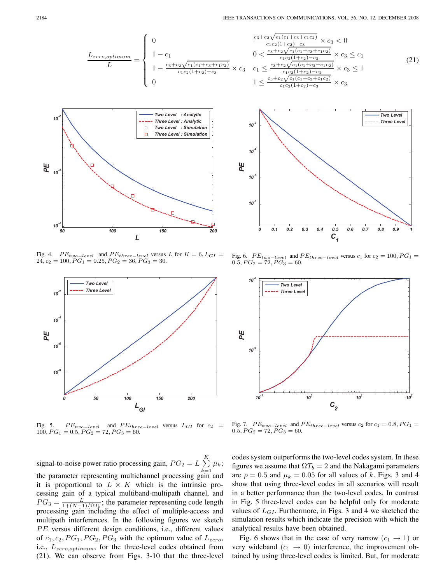$$
\frac{L_{zero, optimum}}{L} = \begin{cases}\n0 & \frac{c_3 + c_2 \sqrt{c_1 (c_1 + c_2)(c_3 + c_4)}}{c_1 c_2 (1 + c_2 + c_3)} \\
1 - \frac{c_3 + c_2 \sqrt{c_1 (c_1 + c_3 + c_1 c_2)}}{c_1 c_2 (1 + c_2) - c_3} \times c_3 & c_1 \le \frac{c_3 + c_2 \sqrt{c_1 (c_1 + c_2 + c_3 + c_4 + c_4)}}{c_1 c_2 (1 + c_2 + c_3)} \\
0 & 1 \le \frac{c_3 + c_2 \sqrt{c_1 (c_1 + c_2 + c_4 + c_4 + c_4)}}{c_1 c_2 (1 + c_2 + c_3)}\n\end{cases}
$$



Fig. 4. *P*E<sub>two</sub> $-$ <sub>level</sub> and PE<sub>three</sub> $-$ <sub>level</sub> versus L for  $K = 6$ ,  $L_{GI} =$  $24, c_2 = 100, PG_1 = 0.25, PG_2 = 36, PG_3 = 30.$ 



Fig. 5. *P Etwo−level* and *P Ethree−level* versus *LGI* for *c*<sup>2</sup> = 100*,PG*<sup>1</sup> = 0*.*5*,PG*<sup>2</sup> = 72*,PG*<sup>3</sup> = 60.

signal-to-noise power ratio processing gain,  $PG_2 = L \sum$ K  $\sqrt{k-1}$  $\mu_k$ ; the parameter representing multichannel processing gain and it is proportional to  $L \times K$  which is the intrinsic processing gain of a typical multiband-multipath channel, and  $PG_3 = \frac{L}{1 + (N-1)/\Omega T_b}$ ; the parameter representing code length processing gain including the effect of multiple-access and multipath interferences. In the following figures we sketch  $PE$  versus different design conditions, i.e., different values of  $c_1, c_2, PG_1, PG_2, PG_3$  with the optimum value of  $L_{zero}$ , i.e.,  $L_{zero, optimum}$ , for the three-level codes obtained from (21). We can observe from Figs. 3-10 that the three-level

$$
\frac{c_3 + c_2 \sqrt{c_1(c_1 + c_3 + c_1 c_2)}}{c_1 c_2 (1 + c_2) - c_3} \times c_3 < 0
$$
\n
$$
0 < \frac{c_3 + c_2 \sqrt{c_1(c_1 + c_3 + c_1 c_2)}}{c_1 c_2 (1 + c_2) - c_3} \times c_3 \le c_1
$$
\n
$$
c_1 \le \frac{c_3 + c_2 \sqrt{c_1(c_1 + c_3 + c_1 c_2)}}{c_1 c_2 (1 + c_2) - c_3} \times c_3 \le 1
$$
\n
$$
1 \le \frac{c_3 + c_2 \sqrt{c_1(c_1 + c_3 + c_1 c_2)}}{c_1 c_2 (1 + c_2) - c_3} \times c_3
$$
\n
$$
(21)
$$



Fig. 6.  $PE_{two-level}$  and  $PE_{three-level}$  versus  $c_1$  for  $c_2 = 100$ ,  $PG_1 =$  $0.5, PG_2 = 72, PG_3 = 60.$ 



Fig. 7. *P Etwo−level* and *P Ethree−level* versus *c*<sup>2</sup> for *c*<sup>1</sup> = 0*.*8*,PG*<sup>1</sup> = 0*.*5*,PG*<sup>2</sup> = 72*,PG*<sup>3</sup> = 60.

codes system outperforms the two-level codes system. In these figures we assume that  $\Omega T_b = 2$  and the Nakagami parameters are  $\rho = 0.5$  and  $\mu_k = 0.05$  for all values of k. Figs. 3 and 4 show that using three-level codes in all scenarios will result in a better performance than the two-level codes. In contrast in Fig. 5 three-level codes can be helpful only for moderate values of  $L_{GI}$ . Furthermore, in Figs. 3 and 4 we sketched the simulation results which indicate the precision with which the analytical results have been obtained.

Fig. 6 shows that in the case of very narrow  $(c_1 \rightarrow 1)$  or very wideband  $(c_1 \rightarrow 0)$  interference, the improvement obtained by using three-level codes is limited. But, for moderate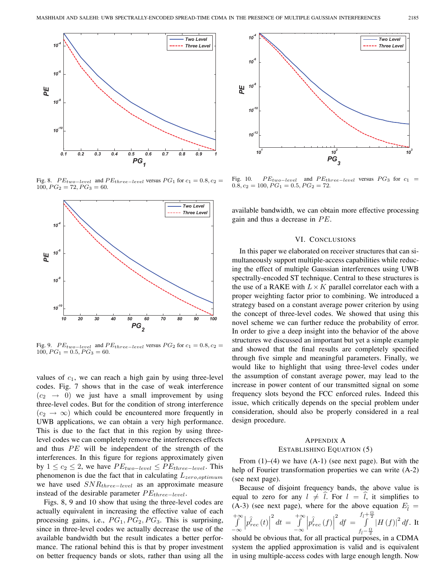

Fig. 8.  $PE_{two-level}$  and  $PE_{three-level}$  versus  $PG_1$  for  $c_1 = 0.8, c_2 =$  $100, PG_2 = 72, PG_3 = 60.$ 



Fig. 9.  $PE_{two-level}$  and  $PE_{three-level}$  versus  $PG_2$  for  $c_1 = 0.8, c_2 =$  $100, PG<sub>1</sub> = 0.5, PG<sub>3</sub> = 60.$ 

values of  $c_1$ , we can reach a high gain by using three-level codes. Fig. 7 shows that in the case of weak interference  $(c_2 \rightarrow 0)$  we just have a small improvement by using three-level codes. But for the condition of strong interference  $(c_2 \rightarrow \infty)$  which could be encountered more frequently in UWB applications, we can obtain a very high performance. This is due to the fact that in this region by using threelevel codes we can completely remove the interferences effects and thus  $PE$  will be independent of the strength of the interferences. In this figure for regions approximately given by  $1 \leq c_2 \leq 2$ , we have  $PE_{two-level} \leq PE_{three-level}$ . This phenomenon is due the fact that in calculating  $L_{zero, optimum}$ we have used  $SNR_{three-level}$  as an approximate measure instead of the desirable parameter  $PE_{three-level}$ .

Figs. 8, 9 and 10 show that using the three-level codes are actually equivalent in increasing the effective value of each processing gains, i.e.,  $PG_1, PG_2, PG_3$ . This is surprising, since in three-level codes we actually decrease the use of the available bandwidth but the result indicates a better performance. The rational behind this is that by proper investment on better frequency bands or slots, rather than using all the



Fig. 10. *P Etwo−level* and *P Ethree−level* versus *P G*<sup>3</sup> for *c*<sup>1</sup> =  $0.8, c_2 = 100, PG_1 = 0.5, PG_2 = 72.$ 

available bandwidth, we can obtain more effective processing gain and thus a decrease in  $PE$ .

#### VI. CONCLUSIONS

In this paper we elaborated on receiver structures that can simultaneously support multiple-access capabilities while reducing the effect of multiple Gaussian interferences using UWB spectrally-encoded ST technique. Central to these structures is the use of a RAKE with  $L \times K$  parallel correlator each with a proper weighting factor prior to combining. We introduced a strategy based on a constant average power criterion by using the concept of three-level codes. We showed that using this novel scheme we can further reduce the probability of error. In order to give a deep insight into the behavior of the above structures we discussed an important but yet a simple example and showed that the final results are completely specified through five simple and meaningful parameters. Finally, we would like to highlight that using three-level codes under the assumption of constant average power, may lead to the increase in power content of our transmitted signal on some frequency slots beyond the FCC enforced rules. Indeed this issue, which critically depends on the special problem under consideration, should also be properly considered in a real design procedure.

# APPENDIX A ESTABLISHING EQUATION (5)

From  $(1)$ – $(4)$  we have  $(A-1)$  (see next page). But with the help of Fourier transformation properties we can write  $(A-2)$ (see next page).

Because of disjoint frequency bands, the above value is equal to zero for any  $l \neq l$ . For  $l = l$ , it simplifies to (A-3) (see next page), where for the above equation  $E_{\hat{I}} =$ 

$$
\int_{-\infty}^{+\infty} \left| p_{rec}^{\hat{l}}(t) \right|^2 dt = \int_{-\infty}^{+\infty} \left| p_{rec}^{\hat{l}}(f) \right|^2 df = \int_{f_{\hat{l}} - \frac{\Omega}{2}}^{f_{\hat{l}} + \frac{\Omega}{2}} |H(f)|^2 df
$$
. It should be obvious that, for all practical purposes, in a CDMA

system the applied approximation is valid and is equivalent in using multiple-access codes with large enough length. Now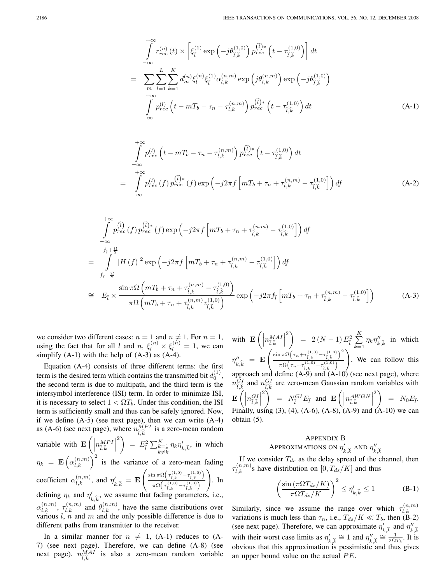$$
\int_{-\infty}^{\infty} r_{rec}^{(n)}(t) \times \left[ \xi_{\hat{l}}^{(1)} \exp\left( -j\theta_{\hat{l},\hat{k}}^{(1,0)} \right) p_{rec}^{(\hat{l})*} \left( t - \tau_{\hat{l},\hat{k}}^{(1,0)} \right) \right] dt
$$
\n
$$
= \sum_{m} \sum_{l=1}^{L} \sum_{k=1}^{K} d_{m}^{(n)} \xi_{l}^{(n)} \xi_{\hat{l}}^{(1)} \alpha_{l,k}^{(n,m)} \exp\left( j\theta_{l,k}^{(n,m)} \right) \exp\left( -j\theta_{\hat{l},\hat{k}}^{(1,0)} \right)
$$
\n
$$
+ \infty
$$
\n
$$
\int_{-\infty}^{+\infty} p_{rec}^{(l)} \left( t - m_{b} - \tau_{n} - \tau_{l,k}^{(n,m)} \right) p_{rec}^{(\hat{l})*} \left( t - \tau_{\hat{l},\hat{k}}^{(1,0)} \right) dt
$$
\n
$$
(A-1)
$$

$$
\int_{-\infty}^{+\infty} p_{rec}^{(l)} \left( t - m T_b - \tau_n - \tau_{l,k}^{(n,m)} \right) p_{rec}^{(\hat{l})*} \left( t - \tau_{\hat{l},\hat{k}}^{(1,0)} \right) dt
$$
\n
$$
= \int_{-\infty}^{+\infty} p_{rec}^{(l)} \left( f \right) p_{rec}^{(\hat{l})*} \left( f \right) \exp \left( -j2\pi f \left[ m T_b + \tau_n + \tau_{l,k}^{(n,m)} - \tau_{\hat{l},\hat{k}}^{(1,0)} \right] \right) df \tag{A-2}
$$

$$
\int_{-\infty}^{+\infty} p_{rec}^{(i)}(f) p_{rec}^{(i)*}(f) \exp\left(-j2\pi f \left[mT_b + \tau_n + \tau_{\hat{l},k}^{(n,m)} - \tau_{\hat{l},\hat{k}}^{(1,0)}\right]\right) df
$$
\n
$$
= \int_{f_{\hat{l}} - \frac{\Omega}{2}}^{f_{\hat{l}} + \frac{\Omega}{2}} |H(f)|^2 \exp\left(-j2\pi f \left[mT_b + \tau_n + \tau_{\hat{l},k}^{(n,m)} - \tau_{\hat{l},\hat{k}}^{(1,0)}\right]\right) df
$$
\n
$$
\approx E_{\hat{l}} \times \frac{\sin \pi \Omega \left(mT_b + \tau_n + \tau_{\hat{l},k}^{(n,m)} - \tau_{\hat{l},\hat{k}}^{(1,0)}\right)}{\pi \Omega \left(mT_b + \tau_n + \tau_{\hat{l},k}^{(n,m)} \tau_{\hat{l},\hat{k}}^{(1,0)}\right)} \exp\left(-j2\pi f_{\hat{l}} \left[mT_b + \tau_n + \tau_{\hat{l},k}^{(n,m)} - \tau_{\hat{l},\hat{k}}^{(1,0)}\right]\right) \tag{A-3}
$$

we consider two different cases:  $n = 1$  and  $n \neq 1$ . For  $n = 1$ , using the fact that for all l and  $n, \xi_l^{(n)} \times \xi_l^{(n)} = 1$ , we can simplify  $(A-1)$  with the help of  $(A-3)$  as  $(A-4)$ .

 $+\sim$ 

Equation (A-4) consists of three different terms: the first term is the desired term which contains the transmitted bit  $d_0^{(1)}$ , the second term is due to multipath, and the third term is the intersymbol interference (ISI) term. In order to minimize ISI, it is necessary to select  $1 < \Omega T_b$ . Under this condition, the ISI term is sufficiently small and thus can be safely ignored. Now, if we define (A-5) (see next page), then we can write (A-4) as (A-6) (see next page), where  $n_{\hat{l},\hat{k}}^{\hat{M}PI}$  is a zero-mean random variable with  $\mathbf{E}\left(\vert \mathbf{z} \vert \right)$  $n_{\widehat{l},\widehat{k}}^{MPI}$  $\left( \int_{0}^{2} \sum_{k=1}^{K} \eta_{k} \eta'_{k,k}$ , in which  $\eta_k = \mathbf{E} \left( \alpha_{l,k}^{(n,m)} \right)^2$  is the variance of a zero-mean fading coefficient  $\alpha_{l,k}^{(n,m)}$ , and  $\eta'_{k,\hat{k}} = \mathbf{E}$  $\left(\frac{\sin \pi \Omega \left(\tau_{\hat{l},k}^{(1,0)} - \tau_{\hat{l},\hat{k}}^{(1,0)}\right)}{\hat{l},\hat{k}}\right)$  $\pi\Omega\left(\tau^{(1,0)}_{\widehat{l},k} - \tau^{(1,0)}_{\widehat{l},\widehat{k}}\right)$ defining  $\eta_k$  and  $\eta'_{k,\hat{k}}$ , we assume that fading parameters, i.e.,  $\setminus$ . In  $\alpha_{l,k}^{(n,m)}$ ,  $\tau_{l,k}^{(n,m)}$  and  $\theta_{l,k}^{(n,m)}$ , have the same distributions over

various  $l, n$  and  $m$  and the only possible difference is due to different paths from transmitter to the receiver.

In a similar manner for  $n \neq 1$ , (A-1) reduces to (A-7) (see next page). Therefore, we can define (A-8) (see next page).  $n_{\hat{l},\hat{k}}^{\overline{MAI}}$  is also a zero-mean random variable

with  $\mathbf{E}$   $\left( \left| \right. \right)$  $n_{\widehat{l},\widehat{k}}^{MAI}$  $\left( \begin{array}{cc} 2 \end{array} \right) \;\; = \;\; 2 \, (N-1) \, E_{\widehat{l}}^2 \, \sum_{k=1}^K$ K  $\sqrt{k}=1$  $\eta_k \eta''_{k,\hat{k}}$  in which  $\eta''_{k,\hat{k}} = \mathbf{E}$  $\int \frac{\sin \pi \Omega \left( \tau_n + \tau_{\hat{l},k}^{(1,0)} - \tau_{\hat{l},\hat{k}}^{(1,0)} \right)}{\hat{l},\hat{k}}$  $\mathbb{R}^2$  $\pi\Omega\left(\tau_n+\tau_{\hat{l},k}^{(1,0)}-\tau_{\hat{l},\hat{k}}^{(1,0)}\right)$  $\setminus$ . We can follow this approach and define  $(A-9)$  and  $(A-10)$  (see next page), where  $\hat{n}_{\hat{i},\hat{k}}^{GI}$  and  $n_{\hat{i},\hat{k}}^{GI}$  are zero-mean Gaussian random variables with  $\mathbf{E}\left(\right)$  $n_{\widehat{l},\widehat{k}}^{GI}\Big|$  $\left( \begin{array}{c} 2 \end{array} \right)$  =  $N_{\hat{l}}^{GI}E_{\hat{l}}$  and  $\mathbf{E}\left( \begin{array}{c} 1 \end{array} \right)$  $n_{\widehat{l},\widehat{k}}^{AWGN}\bigg|$  $\left( \begin{array}{cc} 2 \ \end{array} \right) \;\; = \;\; N_0 E_{\widehat l}.$ Finally, using (3), (4), (A-6), (A-8), (A-9) and (A-10) we can obtain (5).

# APPENDIX B APPROXIMATIONS ON  $\eta'_{k,\hat{k}}$  and  $\eta''_{k,\hat{k}}$

If we consider  $T_{ds}$  as the delay spread of the channel, then  $\tau_{l,k}^{(n,m)}$ s have distribution on  $[0, T_{ds}/K]$  and thus

$$
\left(\frac{\sin\left(\pi\Omega T_{ds}/K\right)}{\pi\Omega T_{ds}/K}\right)^2 \le \eta'_{k,\hat{k}} \le 1\tag{B-1}
$$

Similarly, since we assume the range over which  $\tau_{l,k}^{(n,m)}$ variations is much less than  $\tau_n$ , i.e.,  $T_{ds}/K \ll T_b$ , then (B-2) (see next page). Therefore, we can approximate  $\eta'_{k,\hat{k}}$  and  $\eta''_{k,\hat{k}}$ with their worst case limits as  $\eta'_{k,\hat{k}} \cong 1$  and  $\eta''_{k,\hat{k}} \cong \frac{1}{20T_b}$ . It is obvious that this approximation is pessimistic and thus gives an upper bound value on the actual  $PE$ .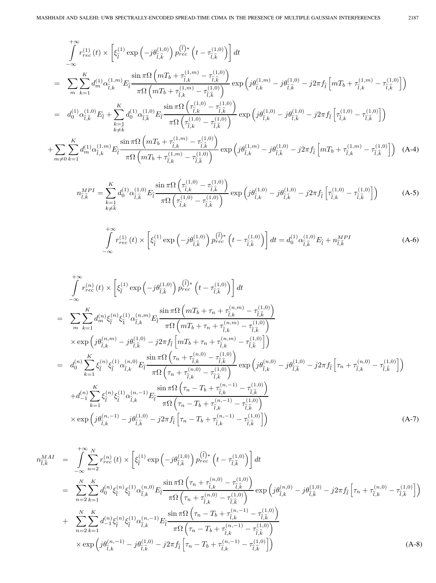$$
\int_{-\infty}^{+\infty} r_{rec}^{(1)}(t) \times \left[ \xi_{\hat{l}}^{(1)} \exp\left(-j\theta_{\hat{l},\hat{k}}^{(1,0)}\right) p_{rec}^{(\hat{l})*}\left(t - \tau_{\hat{l},\hat{k}}^{(1,0)}\right) \right] dt
$$
\n
$$
= \sum_{m} \sum_{k=1}^{K} d_{m}^{(1)} \alpha_{\hat{l},k}^{(1,m)} E_{\hat{l}} \frac{\sin \pi \Omega \left(mT_{b} + \tau_{\hat{l},k}^{(1,m)} - \tau_{\hat{l},\hat{k}}^{(1,0)}\right)}{\pi \Omega \left(mT_{b} + \tau_{\hat{l},k}^{(1,m)} - \tau_{\hat{l},\hat{k}}^{(1,0)}\right)} \exp\left(j\theta_{\hat{l},k}^{(1,m)} - j\theta_{\hat{l},\hat{k}}^{(1,0)} - j2\pi f_{\hat{l}} \left[mT_{b} + \tau_{\hat{l},k}^{(1,m)} - \tau_{\hat{l},\hat{k}}^{(1,0)}\right] \right)
$$
\n
$$
= d_{0}^{(1)} \alpha_{\hat{l},\hat{k}}^{(1,0)} E_{\hat{l}} + \sum_{\substack{k=1 \ k \neq \hat{k}}}^{K} d_{0}^{(1)} \alpha_{\hat{l},\hat{k}}^{(1,0)} E_{\hat{l}} \frac{\sin \pi \Omega \left(\tau_{\hat{l},k}^{(1,0)} - \tau_{\hat{l},\hat{k}}^{(1,0)}\right)}{\pi \Omega \left(\tau_{\hat{l},k}^{(1,0)} - \tau_{\hat{l},\hat{k}}^{(1,0)}\right)} \exp\left(j\theta_{\hat{l},k}^{(1,0)} - j2\pi f_{\hat{l}} \left[\tau_{\hat{l},k}^{(1,0)} - \tau_{\hat{l},\hat{k}}^{(1,0)}\right]\right)
$$
\n
$$
+ \sum_{m \neq 0} \sum_{k=1}^{K} d_{m}^{(1)} \alpha_{\hat{l},k}^{(1,m)} E_{\hat{l}} \frac{\sin \pi \Omega \left(mT_{b} + \tau_{\hat{l},k}^{(1,m)} - \tau_{\hat{l},\hat{k}}^{(1,0)}\right)}{\pi \Omega \left(mT_{b} + \tau_{\hat{l},k}^{(1,m)} - \tau_{\hat{l},\hat{k}}^{(1,0)}\right)} \
$$

$$
n_{\hat{l},\hat{k}}^{MPI} = \sum_{\substack{k=1 \ k \neq \hat{k}}}^{K} d_0^{(1)} \alpha_{\hat{l},\hat{k}}^{(1,0)} E_{\hat{l}} \frac{\sin \pi \Omega \left( \tau_{\hat{l},k}^{(1,0)} - \tau_{\hat{l},\hat{k}}^{(1,0)} \right)}{\pi \Omega \left( \tau_{\hat{l},k}^{(1,0)} - \tau_{\hat{l},\hat{k}}^{(1,0)} \right)} \exp \left( j \theta_{\hat{l},k}^{(1,0)} - j \theta_{\hat{l},\hat{k}}^{(1,0)} - j 2 \pi f_{\hat{l}} \left[ \tau_{\hat{l},k}^{(1,0)} - \tau_{\hat{l},\hat{k}}^{(1,0)} \right] \right)
$$
(A-5)

$$
\int_{-\infty}^{+\infty} r_{rec}^{(1)}(t) \times \left[ \xi_{\hat{l}}^{(1)} \exp\left( -j\theta_{\hat{l},\hat{k}}^{(1,0)} \right) p_{rec}^{(\hat{l})*} \left( t - \tau_{\hat{l},\hat{k}}^{(1,0)} \right) \right] dt = d_0^{(1)} \alpha_{\hat{l},\hat{k}}^{(1,0)} E_{\hat{l}} + n_{\hat{l},\hat{k}}^{MPI} \tag{A-6}
$$

$$
\int_{-\infty}^{+\infty} r_{rec}^{(n)}(t) \times \left[ \xi_{\hat{l}}^{(1)} \exp\left(-j\theta_{\hat{l},\hat{k}}^{(1,0)}\right) p_{rec}^{(\hat{l})*}\left(t - \tau_{\hat{l},\hat{k}}^{(1,0)}\right) \right] dt \n= \sum_{m} \sum_{k=1}^{K} d_{m}^{(n)} \xi_{\hat{l}}^{(1)} \xi_{\hat{l}}^{(1)} \alpha_{\hat{l},k}^{(n,m)} E_{\hat{l}} \frac{\sin \pi \Omega \left(mT_{b} + \tau_{n} + \tau_{\hat{l},k}^{(n,m)} - \tau_{\hat{l},\hat{k}}^{(1,0)}\right)}{\pi \Omega \left(mT_{b} + \tau_{n} + \tau_{\hat{l},k}^{(n,m)} - \tau_{\hat{l},\hat{k}}^{(1,0)}\right)} \n\times \exp\left(j\theta_{\hat{l},k}^{(n,m)} - j\theta_{\hat{l},\hat{k}}^{(1,0)} - j2\pi f_{\hat{l}} \left[mT_{b} + \tau_{n} + \tau_{\hat{l},k}^{(n,m)} - \tau_{\hat{l},\hat{k}}^{(1,0)}\right]\right) \n= d_{0}^{(n)} \sum_{k=1}^{K} \xi_{\hat{l}}^{(n)} \xi_{\hat{l}}^{(1)} \alpha_{\hat{l},k}^{(n,0)} E_{\hat{l}} \frac{\sin \pi \Omega \left(\tau_{n} + \tau_{\hat{l},k}^{(n,0)} - \tau_{\hat{l},\hat{k}}^{(1,0)}\right)}{\pi \Omega \left(\tau_{n} + \tau_{\hat{l},k}^{(n,0)} - \tau_{\hat{l},\hat{k}}^{(1,0)}\right)} \exp\left(j\theta_{\hat{l},k}^{(n,0)} - j2\pi f_{\hat{l}} \left[\tau_{n} + \tau_{\hat{l},k}^{(n,0)} - \tau_{\hat{l},\hat{k}}^{(1,0)}\right]\right) \n+ d_{-1}^{(n)} \sum_{k=1}^{K} \xi_{\hat{l}}^{(n)} \xi_{\hat{l}}^{(1)} \alpha_{\hat{l},k}^{(n,-1)} E_{\hat{l}} \frac{\sin \pi \Omega \left(\tau_{n} - T_{b} + \tau_{\hat{l},k}^{(n,-1)} - \tau_{\hat{l},\hat{k}}^{(1,0)}\right)}{\pi \Omega
$$

$$
n_{\hat{l},\hat{k}}^{MAI} = \int_{-\infty}^{+\infty} \sum_{n=2}^{N} r_{rec}^{(n)}(t) \times \left[ \xi_{\hat{l}}^{(1)} \exp\left(-j\theta_{\hat{l},\hat{k}}^{(1,0)}\right) p_{rec}^{(\hat{l})*}\left(t - \tau_{\hat{l},\hat{k}}^{(1,0)}\right) \right] dt
$$
  
\n
$$
= \sum_{n=2}^{N} \sum_{k=1}^{K} d_{0}^{(n)} \xi_{\hat{l}}^{(n)} \xi_{\hat{l}}^{(1)} \alpha_{\hat{l},k}^{(n,0)} E_{\hat{l}} \frac{\sin \pi \Omega \left(\tau_{n} + \tau_{\hat{l},k}^{(n,0)} - \tau_{\hat{l},\hat{k}}^{(1,0)}\right)}{\pi \Omega \left(\tau_{n} + \tau_{\hat{l},k}^{(n,0)} - \tau_{\hat{l},\hat{k}}^{(1,0)}\right)} \exp\left(j\theta_{\hat{l},k}^{(n,0)} - j\theta_{\hat{l},\hat{k}}^{(1,0)} - j2\pi f_{\hat{l}} \left[\tau_{n} + \tau_{\hat{l},k}^{(n,0)} - \tau_{\hat{l},\hat{k}}^{(1,0)}\right]\right)
$$
  
\n+ 
$$
\sum_{n=2}^{N} \sum_{k=1}^{K} d_{-1}^{(n)} \xi_{\hat{l}}^{(n)} \xi_{\hat{l}}^{(1)} \alpha_{\hat{l},k}^{(n,-1)} E_{\hat{l}} \frac{\sin \pi \Omega \left(\tau_{n} - T_{b} + \tau_{\hat{l},k}^{(n,-1)} - \tau_{\hat{l},0}^{(1,0)}\right)}{\pi \Omega \left(\tau_{n} - T_{b} + \tau_{\hat{l},k}^{(n,-1)} - \tau_{\hat{l},\hat{k}}^{(1,0)}\right)}
$$
  
\n
$$
\times \exp\left(j\theta_{\hat{l},k}^{(n,-1)} - j\theta_{\hat{l},\hat{k}}^{(1,0)} - j2\pi f_{\hat{l}} \left[\tau_{n} - T_{b} + \tau_{\hat{l},k}^{(n,-1)} - \tau_{\hat{l},0}^{(1,0)}\right]\right)
$$
(A-8)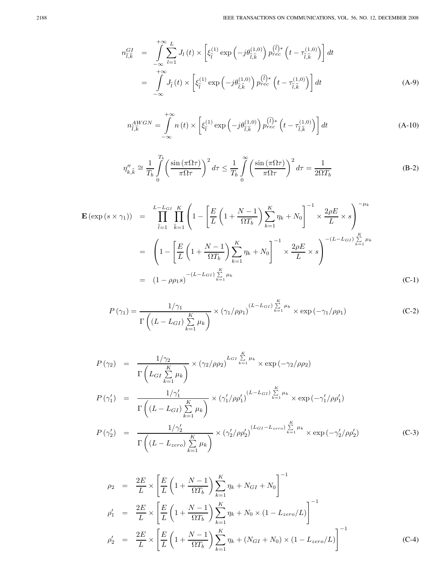$$
n_{\hat{l},\hat{k}}^{GI} = \int_{-\infty}^{+\infty} \sum_{l=1}^{L} J_l(t) \times \left[ \xi_{\hat{l}}^{(1)} \exp\left(-j\theta_{\hat{l},\hat{k}}^{(1,0)}\right) p_{rec}^{(\hat{l})*} \left(t - \tau_{\hat{l},\hat{k}}^{(1,0)}\right) \right] dt
$$
  

$$
= \int_{-\infty}^{+\infty} J_{\hat{l}}(t) \times \left[ \xi_{\hat{l}}^{(1)} \exp\left(-j\theta_{\hat{l},\hat{k}}^{(1,0)}\right) p_{rec}^{(\hat{l})*} \left(t - \tau_{\hat{l},\hat{k}}^{(1,0)}\right) \right] dt
$$
(A-9)

$$
n_{\hat{l},\hat{k}}^{AWGN} = \int_{-\infty}^{+\infty} n(t) \times \left[ \xi_{\hat{l}}^{(1)} \exp\left(-j\theta_{\hat{l},\hat{k}}^{(1,0)}\right) p_{rec}^{(\hat{l})*} \left(t - \tau_{\hat{l},\hat{k}}^{(1,0)}\right) \right] dt \tag{A-10}
$$

$$
\eta_{k,\hat{k}}'' \cong \frac{1}{T_b} \int_0^{T_b} \left( \frac{\sin(\pi \Omega \tau)}{\pi \Omega \tau} \right)^2 d\tau \le \frac{1}{T_b} \int_0^{\infty} \left( \frac{\sin(\pi \Omega \tau)}{\pi \Omega \tau} \right)^2 d\tau = \frac{1}{2\Omega T_b}
$$
(B-2)

$$
\mathbf{E}(\exp(s \times \gamma_1)) = \prod_{\hat{l}=1}^{L-L_{GI}} \prod_{\hat{k}=1}^{K} \left( 1 - \left[ \frac{E}{L} \left( 1 + \frac{N-1}{\Omega T_b} \right) \sum_{k=1}^{K} \eta_k + N_0 \right]^{-1} \times \frac{2\rho E}{L} \times s \right)^{-\mu_k}
$$
  
\n
$$
= \left( 1 - \left[ \frac{E}{L} \left( 1 + \frac{N-1}{\Omega T_b} \right) \sum_{k=1}^{K} \eta_k + N_0 \right]^{-1} \times \frac{2\rho E}{L} \times s \right)^{-(L-L_{GI})} \sum_{k=1}^{K} \mu_k
$$
  
\n
$$
= (1 - \rho \rho_1 s)^{-(L-L_{GI})} \sum_{k=1}^{K} \mu_k
$$
 (C-1)

$$
P(\gamma_1) = \frac{1/\gamma_1}{\Gamma\left((L - L_{GI})\sum\limits_{k=1}^K \mu_k\right)} \times (\gamma_1/\rho \rho_1)^{(L - L_{GI})\sum\limits_{k=1}^K \mu_k} \times \exp(-\gamma_1/\rho \rho_1)
$$
 (C-2)

$$
P(\gamma_2) = \frac{1/\gamma_2}{\Gamma\left(L_{GI}\sum\limits_{k=1}^K \mu_k\right)} \times (\gamma_2/\rho \rho_2)^{L_{GI}\sum\limits_{k=1}^K \mu_k} \times \exp(-\gamma_2/\rho \rho_2)
$$
  
\n
$$
P(\gamma_1') = \frac{1/\gamma_1'}{\Gamma\left((L - L_{GI})\sum\limits_{k=1}^K \mu_k\right)} \times (\gamma_1'/\rho \rho_1')^{(L - L_{GI})\sum\limits_{k=1}^K \mu_k} \times \exp(-\gamma_1'/\rho \rho_1')
$$
  
\n
$$
P(\gamma_2') = \frac{1/\gamma_2'}{\Gamma\left((L - L_{zero})\sum\limits_{k=1}^K \mu_k\right)} \times (\gamma_2'/\rho \rho_2')^{(L_{GI} - L_{zero})\sum\limits_{k=1}^K \mu_k} \times \exp(-\gamma_2'/\rho \rho_2')
$$
 (C-3)

$$
\rho_2 = \frac{2E}{L} \times \left[ \frac{E}{L} \left( 1 + \frac{N-1}{\Omega T_b} \right) \sum_{k=1}^K \eta_k + N_{GI} + N_0 \right]^{-1}
$$
\n
$$
\rho_1' = \frac{2E}{L} \times \left[ \frac{E}{L} \left( 1 + \frac{N-1}{\Omega T_b} \right) \sum_{k=1}^K \eta_k + N_0 \times (1 - L_{zero}/L) \right]^{-1}
$$
\n
$$
\rho_2' = \frac{2E}{L} \times \left[ \frac{E}{L} \left( 1 + \frac{N-1}{\Omega T_b} \right) \sum_{k=1}^K \eta_k + (N_{GI} + N_0) \times (1 - L_{zero}/L) \right]^{-1}
$$
\n(C-4)